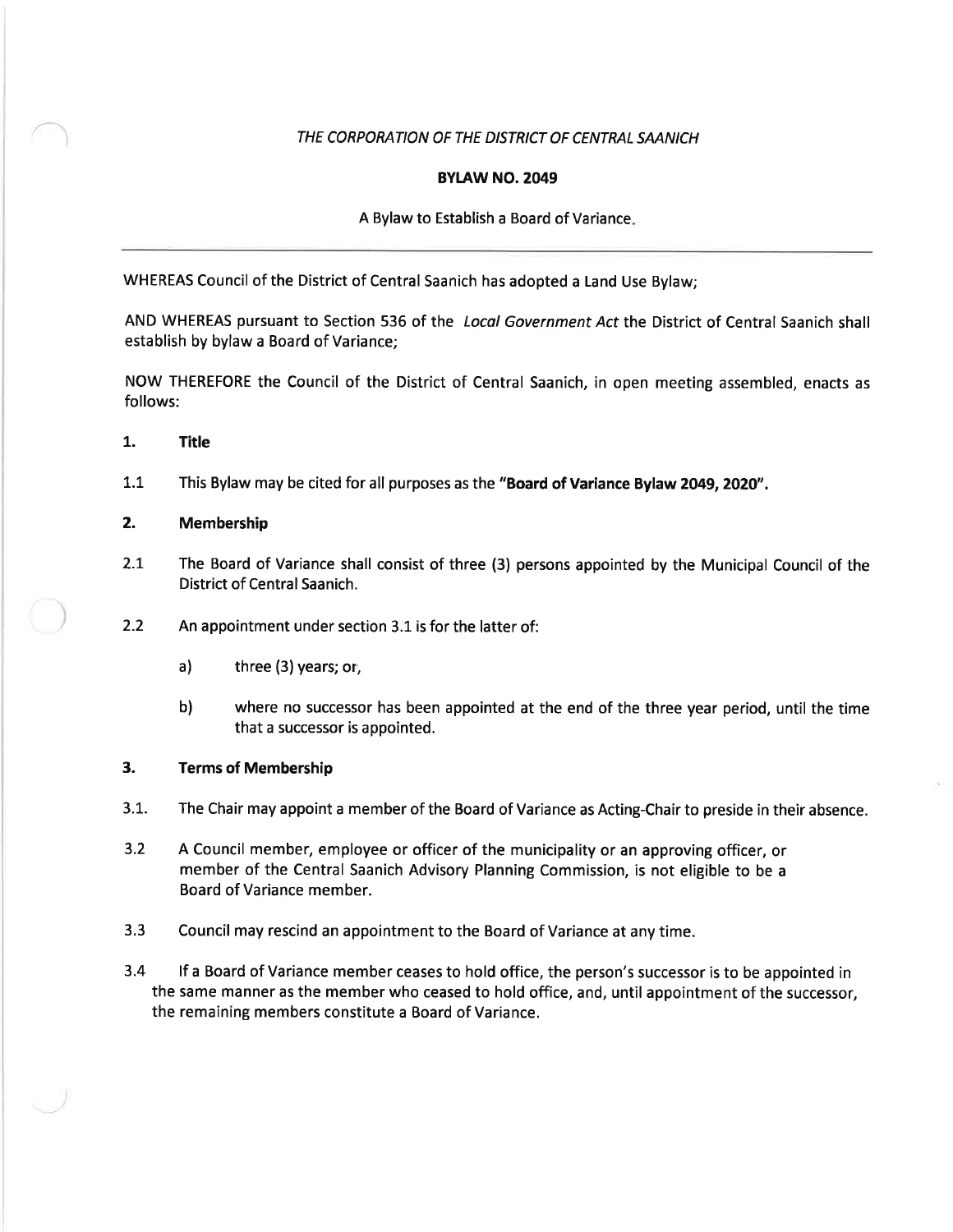# THE CORPORATION OF THE DISTRICT OF CENTRAL SAANICH

### **BYLAW NO. 2049**

# A Bylaw to Establish a Board of Variance

WHEREAS Council of the District of Central Saanich has adopted a Land Use Bylaw;

AND WHEREAS pursuant to Section 536 of the Local Government Act the District of Central Saanich shall establish by bylaw a Board of Variance;

NOW THEREFORE the Council of the District of Central Saanich, in open meeting assembled, enacts as follows:

- 1. Title
- L.I This Bylaw may be cited for all purposes as the "Board of Variance Bylaw 2049, 2020".

#### 2. Membership

- 2.1 The Board of Variance shall consist of three (3) persons appointed by the Municipal Council of the District of Central Saanich.
- 2.2 An appointment under section 3.1 is for the latter of:
	- a) three (3) years; or,
	- b) where no successor has been appointed at the end of the three year period, until the time that a successor is appointed.

### 3. Terms of Membership

- 3.1. The Chair may appoint a member of the Board of Variance as Acting-Chair to preside in their absence.
- 3.2 A Council member, employee or officer of the municipality or an approving officer, or member of the Central Saanich Advisory Planning Commission, is not eligible to be <sup>a</sup> Board of Variance member.
- 3.3 Council may rescind an appointment to the Board of Variance at any time.
- 3.4 lf a Board of Variance member ceases to hold office, the person's successor is to be appointed in the same manner as the member who ceased to hold office, and, until appointment of the successor, the remaining members constitute a Board of Variance.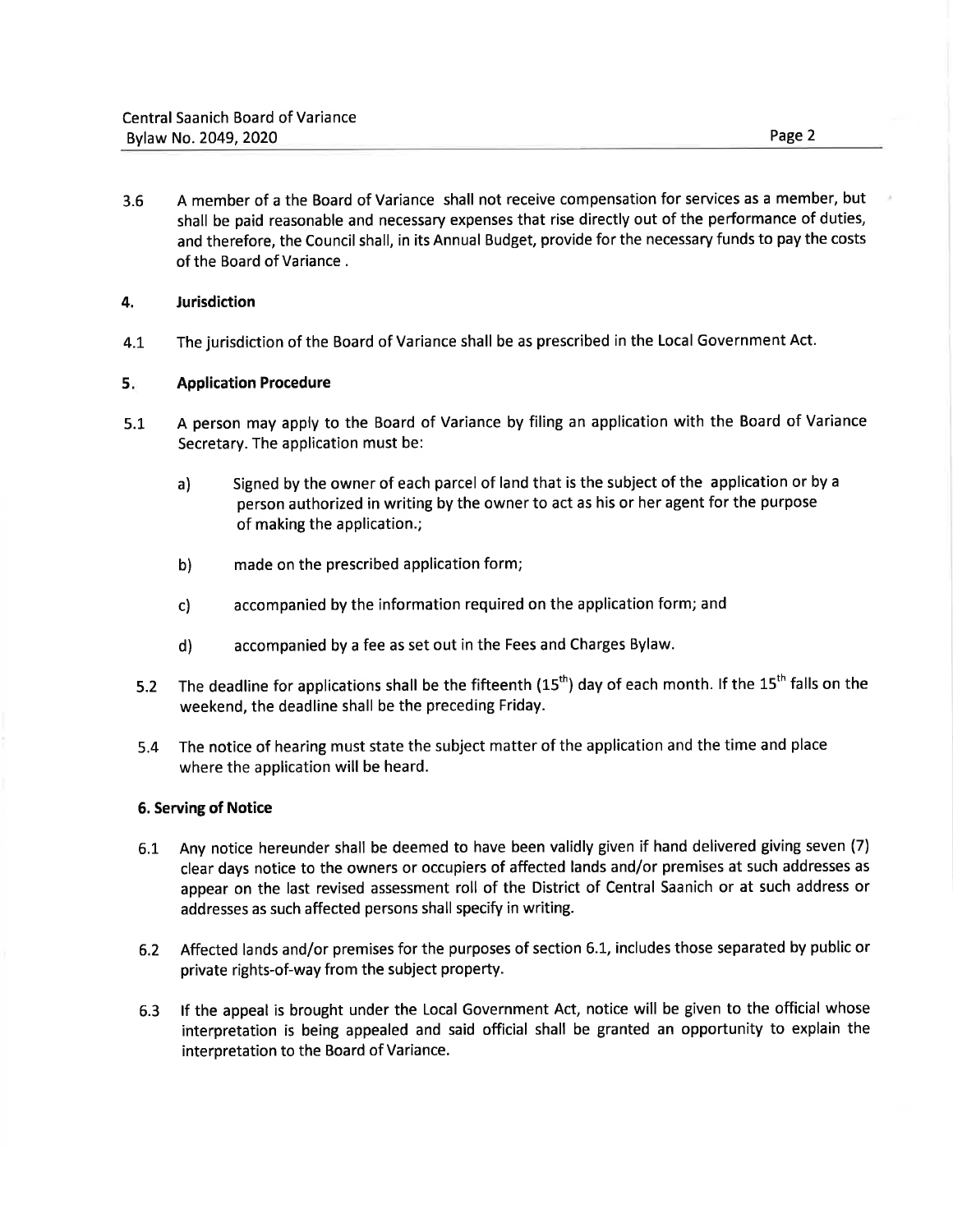3.6 A member of a the Board of Variance shall not receive compensation for services as a member, but shall be paid reasonable and necessary expenses that rise directly out of the performance of duties, and therefore, the Council shall, in its Annual Budget, provide for the necessary funds to pay the costs of the Board of Variance.

# 4. Jurisdiction

4.1 The jurisdiction of the Board of Variance shall be as prescribed in the Local Government Act.

#### 5 Application Procedure

- A person may apply to the Board of Variance by filing an application with the Board of Variance Secretary. The application must be: 5.1
	- a) Signed by the owner of each parcel of land that is the subject of the application or by <sup>a</sup> person authorized in writing by the owner to act as his or her agent for the purpose of making the application.;
	- b) made on the prescribed application form;
	- c) accompanied by the information required on the application form; and
	- d) accompanied by a fee as set out in the Fees and Charges Bylaw.
	- The deadline for applications shall be the fifteenth  $(15<sup>th</sup>)$  day of each month. If the  $15<sup>th</sup>$  falls on the weekend, the deadline shall be the preceding Friday. 5.2
	- The notice of hearing must state the subject matter of the application and the time and place where the application will be heard. 5.4

### 6. Serving of Notice

- 6.1 Any notice hereunder shall be deemed to have been validly given if hand delivered giving seven (7) clear days notice to the owners or occupiers of affected lands and/or premises at such addresses as appear on the last revised assessment roll of the District of Central Saanich or at such address or addresses as such affected persons shall specify in writing.
- 6.2 Affected lands and/or premises for the purposes of section 6.1, includes those separated by public or private rights-of-way from the subject property.
- 6.3 lf the appeal is brought under the Local Government Act, notice will be given to the official whose interpretation is being appealed and said official shall be granted an opportunity to explain the interpretation to the Board of Variance.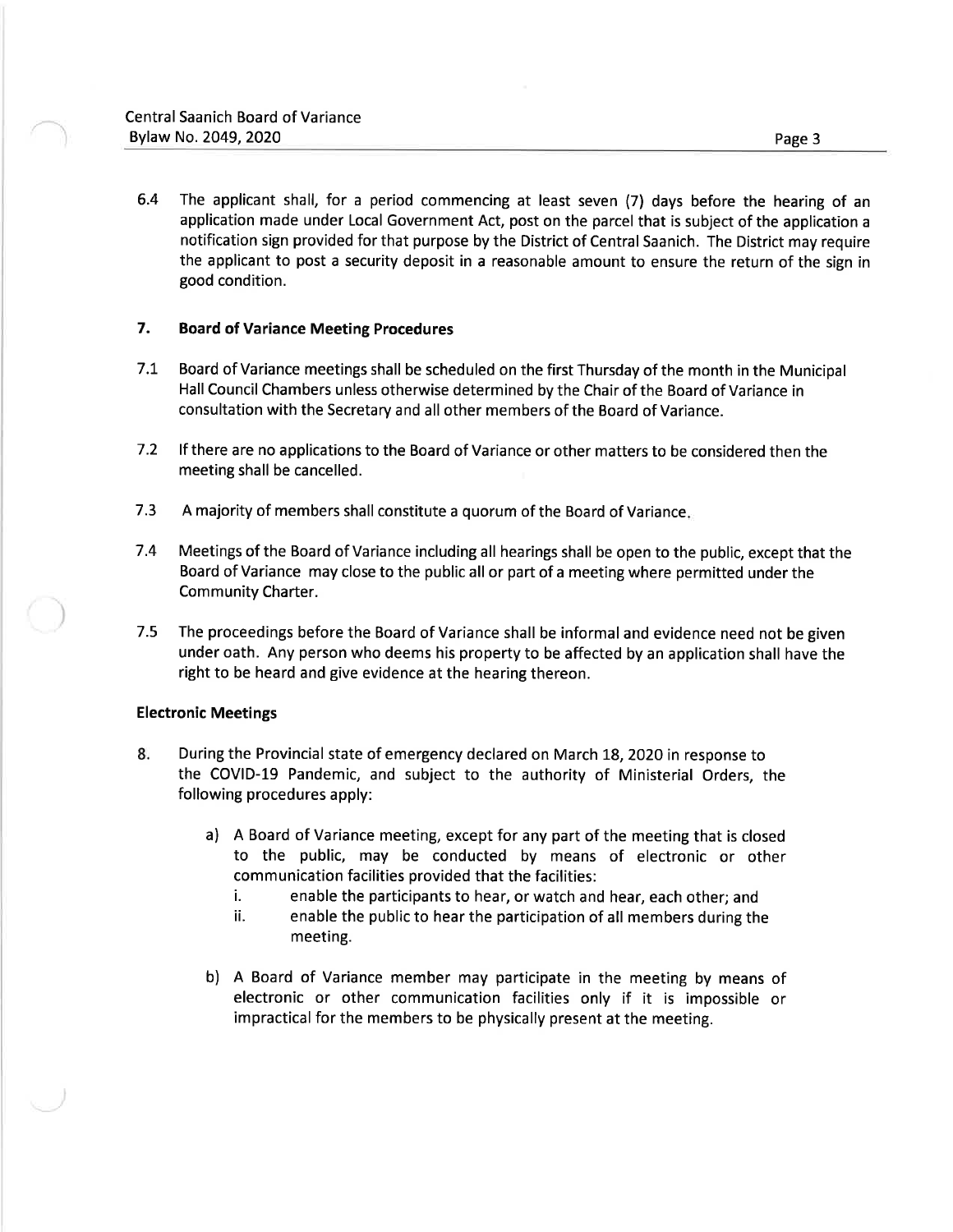6.4 The applicant shall, for a period commencing at least seven (7) days before the hearing of an application made under Local Government Act, post on the parcel that is subject of the application <sup>a</sup> notification sign provided for that purpose by the District of Central Saanich. The District may require the applicant to post a security deposit in a reasonable amount to ensure the return of the sign in good condition.

# 7. Board of Variance Meeting Procedures

- <sup>7</sup>.t Board of Variance meetings shall be scheduled on the first Thursday of the month in the Municipal Hall Council Chambers unless otherwise determined by the Chair of the Board of Variance in consultation with the Secretary and all other members of the Board of Variance.
- 7.2 lf there are no applications to the Board of Variance or other matters to be considered then the meeting shall be cancelled.
- <sup>7</sup>.3 A majority of members shall constitute a quorum of the Board of Variance
- <sup>7</sup>.4 Meetings of the Board of Variance including all hearings shall be open to the public, except that the Board of Variance may close to the public all or part of a meeting where permitted under the Community Charter.
- 7.5 The proceedings before the Board of Variance shall be informal and evidence need not be given under oath. Any person who deems his property to be affected by an application shall have the right to be heard and give evidence at the hearing thereon.

### Electronic Meetings

- 8. During the Provincial state of emergency declared on March 18,2O2O in response to the COVID-19 Pandemic, and subject to the authority of Ministerial Orders, the following procedures apply:
	- a) <sup>A</sup>Board of Variance meeting, except for any part of the meeting that is closed to the public, may be conducted by means of electronic or other communication facilities provided that the facilities:
		- i. enable the participants to hear, or watch and hear, each other; and
		- ii. enable the public to hear the participation of all members during the meeting.
	- b) A Board of Variance member may participate in the meeting by means of electronic or other communication facilities only if it is impossible or impractical for the members to be physically present at the meeting.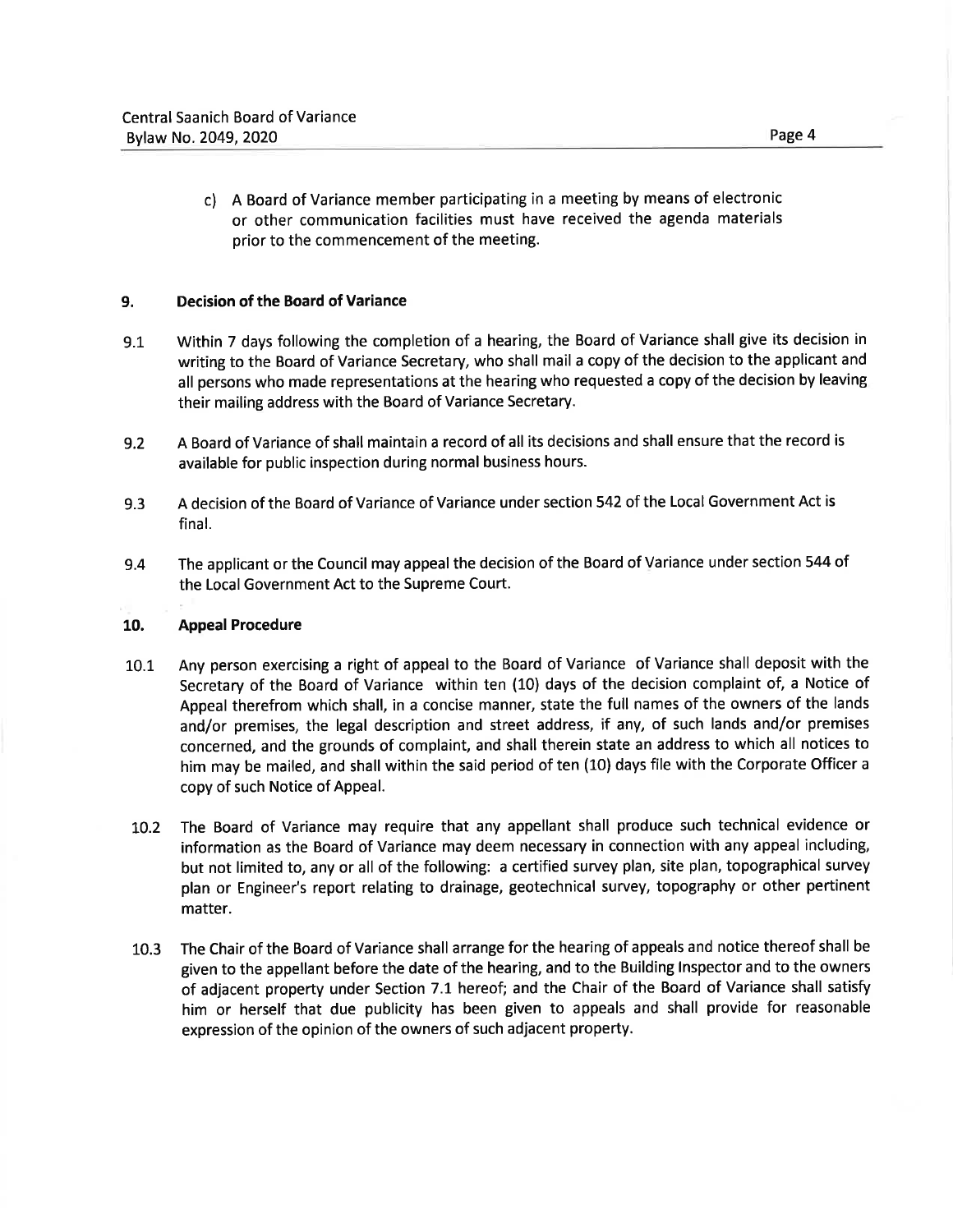c) <sup>A</sup>Board of Variance member participating in a meeting by means of electronic or other communication facilities must have received the agenda materials prior to the commencement of the meeting.

# 9. Decision of the Board of Variance

- 9.1 Within 7 days following the completion of a hearing, the Board of Variance shall give its decision in writing to the Board of Variance Secretary, who shall mail a copy of the decision to the applicant and all persons who made representations at the hearing who requested a copy of the decision by leaving their mailing address with the Board of Variance Secretary.
- 9.2 A Board of Variance of shall maintain a record of all its decisions and shall ensure that the record is available for public inspection during normal business hours.
- 9.3 A decision of the Board of Variance of Variance under section 542 of the Local Government Act is final.
- 9.4 The applicant or the Council may appeal the decision of the Board of Variance under section 544 of the Local Government Act to the Supreme Court.

# 10. Appeal Procedure

- 10.1 Any person exercising a right of appeal to the Board of Variance of Variance shall deposit with the Secretary of the Board of Variance within ten (10) days of the decision complaint of, a Notice of Appeal therefrom which shall, in a concise manner, state the full names of the owners of the lands and/or premises, the legal description and street address, if any, of such lands and/or premises concerned, and the grounds of complaint, and shall therein state an address to which all notices to him may be mailed, and shall within the said period of ten (10) days file with the Corporate Officer <sup>a</sup> copy of such Notice of Appeal.
- 10.2 The Board of Variance may require that any appellant shall produce such technical evidence or information as the Board of Variance may deem necessary in connection with any appeal including, but not limited to, any or all of the following: a certified survey plan, site plan, topographical survey plan or Engineer's report relating to drainage, geotechnical survey, topography or other pertinent matter.
- 10.3 The Chair of the Board of Variance shall arrange for the hearing of appeals and notice thereof shall be given to the appellant before the date of the hearing, and to the Building lnspector and to the owners of adjacent property under Section 7.1 hereof; and the Chair of the Board of Variance shall satisfy him or herself that due publicity has been given to appeals and shall provide for reasonable expression of the opinion of the owners of such adjacent property.